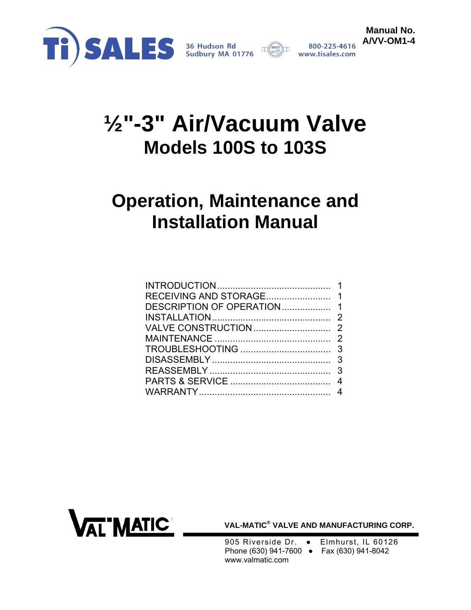



# **½"-3" Air/Vacuum Valve Models 100S to 103S**

## **Operation, Maintenance and Installation Manual**

| DESCRIPTION OF OPERATION 1 |  |
|----------------------------|--|
|                            |  |
|                            |  |
|                            |  |
|                            |  |
|                            |  |
|                            |  |
|                            |  |
|                            |  |
|                            |  |



**VAL-MATIC® VALVE AND MANUFACTURING CORP.** 

- 905 Riverside Dr. Elmhurst, IL 60126 Phone (630) 941-7600 ● Fax (630) 941-8042 www.valmatic.com
	-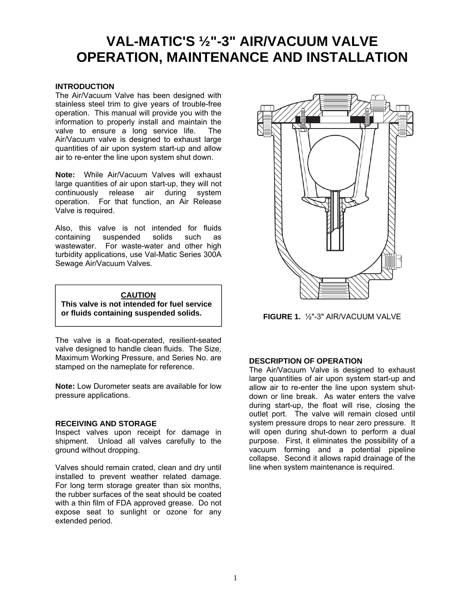### <span id="page-1-0"></span>**VAL-MATIC'S ½"-3" AIR/VACUUM VALVE OPERATION, MAINTENANCE AND INSTALLATION**

#### **INTRODUCTION**

The Air/Vacuum Valve has been designed with stainless steel trim to give years of trouble-free operation. This manual will provide you with the information to properly install and maintain the valve to ensure a long service life. The Air/Vacuum valve is designed to exhaust large quantities of air upon system start-up and allow air to re-enter the line upon system shut down.

**Note:** While Air/Vacuum Valves will exhaust large quantities of air upon start-up, they will not continuously release air during system operation. For that function, an Air Release Valve is required.

Also, this valve is not intended for fluids<br>containing suspended solids such as containing suspended solids such as wastewater. For waste-water and other high turbidity applications, use Val-Matic Series 300A Sewage Air/Vacuum Valves.



The valve is a float-operated, resilient-seated valve designed to handle clean fluids. The Size, Maximum Working Pressure, and Series No. are stamped on the nameplate for reference.

**Note:** Low Durometer seats are available for low pressure applications.

#### **RECEIVING AND STORAGE**

Inspect valves upon receipt for damage in shipment. Unload all valves carefully to the ground without dropping.

Valves should remain crated, clean and dry until installed to prevent weather related damage. For long term storage greater than six months, the rubber surfaces of the seat should be coated with a thin film of FDA approved grease. Do not expose seat to sunlight or ozone for any extended period.



**FIGURE 1.** ½"-3" AIR/VACUUM VALVE

#### **DESCRIPTION OF OPERATION**

The Air/Vacuum Valve is designed to exhaust large quantities of air upon system start-up and allow air to re-enter the line upon system shutdown or line break. As water enters the valve during start-up, the float will rise, closing the outlet port. The valve will remain closed until system pressure drops to near zero pressure. It will open during shut-down to perform a dual purpose. First, it eliminates the possibility of a vacuum forming and a potential pipeline collapse. Second it allows rapid drainage of the line when system maintenance is required.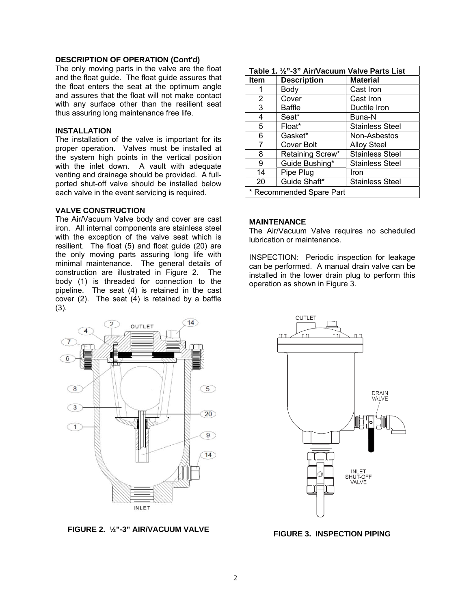#### <span id="page-2-0"></span>**DESCRIPTION OF OPERATION (Cont'd)**

The only moving parts in the valve are the float and the float guide. The float guide assures that the float enters the seat at the optimum angle and assures that the float will not make contact with any surface other than the resilient seat thus assuring long maintenance free life.

#### **INSTALLATION**

The installation of the valve is important for its proper operation. Valves must be installed at the system high points in the vertical position with the inlet down. A vault with adequate venting and drainage should be provided. A fullported shut-off valve should be installed below each valve in the event servicing is required.

#### **VALVE CONSTRUCTION**

The Air/Vacuum Valve body and cover are cast iron. All internal components are stainless steel with the exception of the valve seat which is resilient. The float (5) and float guide (20) are the only moving parts assuring long life with minimal maintenance. The general details of construction are illustrated in Figure 2. The body (1) is threaded for connection to the pipeline. The seat (4) is retained in the cast cover (2). The seat (4) is retained by a baffle (3).



**FIGURE 2. ½"-3" AIR/VACUUM VALVE**

| Table 1. 1/2"-3" Air/Vacuum Valve Parts List |                    |                        |  |
|----------------------------------------------|--------------------|------------------------|--|
| <b>Item</b>                                  | <b>Description</b> | <b>Material</b>        |  |
|                                              | Body               | Cast Iron              |  |
| 2                                            | Cover              | Cast Iron              |  |
| 3                                            | Baffle             | Ductile Iron           |  |
| 4                                            | Seat*              | Buna-N                 |  |
| 5                                            | Float*             | <b>Stainless Steel</b> |  |
| 6                                            | Gasket*            | Non-Asbestos           |  |
| 7                                            | Cover Bolt         | <b>Alloy Steel</b>     |  |
| 8                                            | Retaining Screw*   | <b>Stainless Steel</b> |  |
| 9                                            | Guide Bushing*     | Stainless Steel        |  |
| 14                                           | Pipe Plug          | Iron                   |  |
| 20                                           | Guide Shaft*       | <b>Stainless Steel</b> |  |
| * Recommended Spare Part                     |                    |                        |  |

#### **MAINTENANCE**

The Air/Vacuum Valve requires no scheduled lubrication or maintenance.

INSPECTION: Periodic inspection for leakage can be performed. A manual drain valve can be installed in the lower drain plug to perform this operation as shown in Figure 3.



**FIGURE 3. INSPECTION PIPING**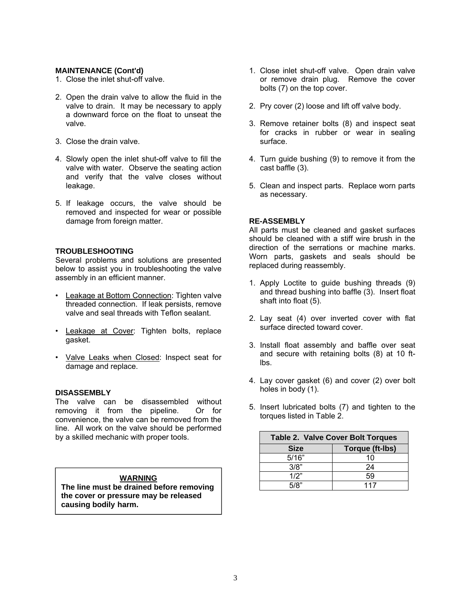#### <span id="page-3-0"></span>**MAINTENANCE (Cont'd)**

- 1. Close the inlet shut-off valve.
- 2. Open the drain valve to allow the fluid in the valve to drain. It may be necessary to apply a downward force on the float to unseat the valve.
- 3. Close the drain valve.
- 4. Slowly open the inlet shut-off valve to fill the valve with water. Observe the seating action and verify that the valve closes without leakage.
- 5. If leakage occurs, the valve should be removed and inspected for wear or possible damage from foreign matter.

#### **TROUBLESHOOTING**

Several problems and solutions are presented below to assist you in troubleshooting the valve assembly in an efficient manner.

- Leakage at Bottom Connection: Tighten valve threaded connection. If leak persists, remove valve and seal threads with Teflon sealant.
- Leakage at Cover: Tighten bolts, replace gasket.
- Valve Leaks when Closed: Inspect seat for damage and replace.

#### **DISASSEMBLY**

The valve can be disassembled without removing it from the pipeline. Or for convenience, the valve can be removed from the line. All work on the valve should be performed by a skilled mechanic with proper tools.

#### **WARNING**

**The line must be drained before removing the cover or pressure may be released causing bodily harm.**

- 1. Close inlet shut-off valve. Open drain valve or remove drain plug. Remove the cover bolts (7) on the top cover.
- 2. Pry cover (2) loose and lift off valve body.
- 3. Remove retainer bolts (8) and inspect seat for cracks in rubber or wear in sealing surface.
- 4. Turn guide bushing (9) to remove it from the cast baffle (3).
- 5. Clean and inspect parts. Replace worn parts as necessary.

#### **RE-ASSEMBLY**

All parts must be cleaned and gasket surfaces should be cleaned with a stiff wire brush in the direction of the serrations or machine marks. Worn parts, gaskets and seals should be replaced during reassembly.

- 1. Apply Loctite to guide bushing threads (9) and thread bushing into baffle (3). Insert float shaft into float (5).
- 2. Lay seat (4) over inverted cover with flat surface directed toward cover.
- 3. Install float assembly and baffle over seat and secure with retaining bolts (8) at 10 ftlbs.
- 4. Lay cover gasket (6) and cover (2) over bolt holes in body (1).
- 5. Insert lubricated bolts (7) and tighten to the torques listed in Table 2.

| <b>Table 2. Valve Cover Bolt Torques</b> |                        |  |
|------------------------------------------|------------------------|--|
| <b>Size</b>                              | <b>Torque (ft-lbs)</b> |  |
| 5/16"                                    | 10                     |  |
| 3/8"                                     | 24                     |  |
| 1/2"                                     | 59                     |  |
| 5/2"                                     | 117                    |  |